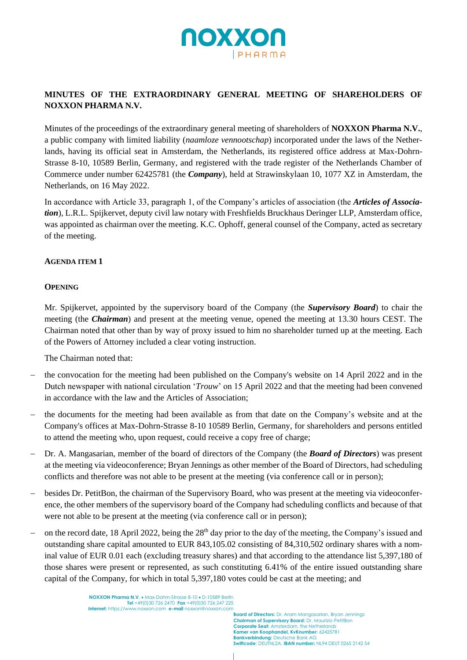

# **MINUTES OF THE EXTRAORDINARY GENERAL MEETING OF SHAREHOLDERS OF NOXXON PHARMA N.V.**

Minutes of the proceedings of the extraordinary general meeting of shareholders of **NOXXON Pharma N.V.**, a public company with limited liability (*naamloze vennootschap*) incorporated under the laws of the Netherlands, having its official seat in Amsterdam, the Netherlands, its registered office address at Max-Dohrn-Strasse 8-10, 10589 Berlin, Germany, and registered with the trade register of the Netherlands Chamber of Commerce under number 62425781 (the *Company*), held at Strawinskylaan 10, 1077 XZ in Amsterdam, the Netherlands, on 16 May 2022.

In accordance with Article 33, paragraph 1, of the Company's articles of association (the *Articles of Association*), L.R.L. Spijkervet, deputy civil law notary with Freshfields Bruckhaus Deringer LLP, Amsterdam office, was appointed as chairman over the meeting. K.C. Ophoff, general counsel of the Company, acted as secretary of the meeting.

### **AGENDA ITEM 1**

### **OPENING**

Mr. Spijkervet, appointed by the supervisory board of the Company (the *Supervisory Board*) to chair the meeting (the *Chairman*) and present at the meeting venue, opened the meeting at 13.30 hours CEST. The Chairman noted that other than by way of proxy issued to him no shareholder turned up at the meeting. Each of the Powers of Attorney included a clear voting instruction.

The Chairman noted that:

- the convocation for the meeting had been published on the Company's website on 14 April 2022 and in the Dutch newspaper with national circulation '*Trouw*' on 15 April 2022 and that the meeting had been convened in accordance with the law and the Articles of Association;
- the documents for the meeting had been available as from that date on the Company's website and at the Company's offices at Max-Dohrn-Strasse 8-10 10589 Berlin, Germany, for shareholders and persons entitled to attend the meeting who, upon request, could receive a copy free of charge;
- − Dr. A. Mangasarian, member of the board of directors of the Company (the *Board of Directors*) was present at the meeting via videoconference; Bryan Jennings as other member of the Board of Directors, had scheduling conflicts and therefore was not able to be present at the meeting (via conference call or in person);
- − besides Dr. PetitBon, the chairman of the Supervisory Board, who was present at the meeting via videoconference, the other members of the supervisory board of the Company had scheduling conflicts and because of that were not able to be present at the meeting (via conference call or in person);
- on the record date, 18 April 2022, being the 28<sup>th</sup> day prior to the day of the meeting, the Company's issued and outstanding share capital amounted to EUR 843,105.02 consisting of 84,310,502 ordinary shares with a nominal value of EUR 0.01 each (excluding treasury shares) and that according to the attendance list 5,397,180 of those shares were present or represented, as such constituting 6.41% of the entire issued outstanding share capital of the Company, for which in total 5,397,180 votes could be cast at the meeting; and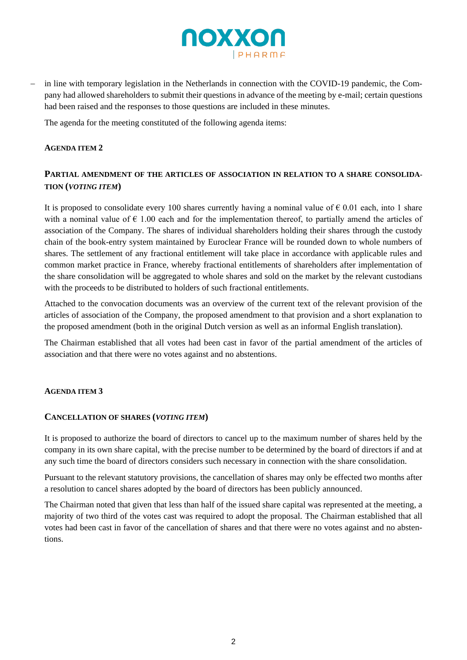

in line with temporary legislation in the Netherlands in connection with the COVID-19 pandemic, the Company had allowed shareholders to submit their questions in advance of the meeting by e-mail; certain questions had been raised and the responses to those questions are included in these minutes.

The agenda for the meeting constituted of the following agenda items:

#### **AGENDA ITEM 2**

## PARTIAL AMENDMENT OF THE ARTICLES OF ASSOCIATION IN RELATION TO A SHARE CONSOLIDA-**TION (***VOTING ITEM***)**

It is proposed to consolidate every 100 shares currently having a nominal value of  $\epsilon$  0.01 each, into 1 share with a nominal value of  $\epsilon$  1.00 each and for the implementation thereof, to partially amend the articles of association of the Company. The shares of individual shareholders holding their shares through the custody chain of the book-entry system maintained by Euroclear France will be rounded down to whole numbers of shares. The settlement of any fractional entitlement will take place in accordance with applicable rules and common market practice in France, whereby fractional entitlements of shareholders after implementation of the share consolidation will be aggregated to whole shares and sold on the market by the relevant custodians with the proceeds to be distributed to holders of such fractional entitlements.

Attached to the convocation documents was an overview of the current text of the relevant provision of the articles of association of the Company, the proposed amendment to that provision and a short explanation to the proposed amendment (both in the original Dutch version as well as an informal English translation).

The Chairman established that all votes had been cast in favor of the partial amendment of the articles of association and that there were no votes against and no abstentions.

### **AGENDA ITEM 3**

#### **CANCELLATION OF SHARES (***VOTING ITEM***)**

It is proposed to authorize the board of directors to cancel up to the maximum number of shares held by the company in its own share capital, with the precise number to be determined by the board of directors if and at any such time the board of directors considers such necessary in connection with the share consolidation.

Pursuant to the relevant statutory provisions, the cancellation of shares may only be effected two months after a resolution to cancel shares adopted by the board of directors has been publicly announced.

The Chairman noted that given that less than half of the issued share capital was represented at the meeting, a majority of two third of the votes cast was required to adopt the proposal. The Chairman established that all votes had been cast in favor of the cancellation of shares and that there were no votes against and no abstentions.